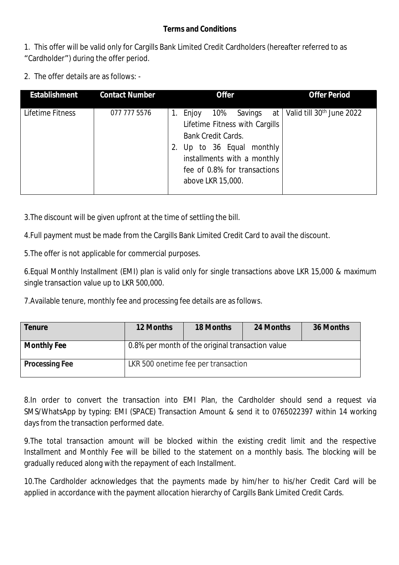## **Terms and Conditions**

1. This offer will be valid only for Cargills Bank Limited Credit Cardholders (hereafter referred to as "Cardholder") during the offer period.

2. The offer details are as follows: -

| <b>Establishment</b> | <b>Contact Number</b> | <b>Offer</b>                                                                                                                                                                                                     | <b>Offer Period</b>                        |
|----------------------|-----------------------|------------------------------------------------------------------------------------------------------------------------------------------------------------------------------------------------------------------|--------------------------------------------|
| Lifetime Fitness     | 077 777 5576          | 10%<br>Savings<br>Enjoy<br>1.<br>Lifetime Fitness with Cargills<br><b>Bank Credit Cards.</b><br>Up to 36 Equal monthly<br>2.<br>installments with a monthly<br>fee of 0.8% for transactions<br>above LKR 15,000. | at   Valid till 30 <sup>th</sup> June 2022 |

3.The discount will be given upfront at the time of settling the bill.

4.Full payment must be made from the Cargills Bank Limited Credit Card to avail the discount.

5.The offer is not applicable for commercial purposes.

6.Equal Monthly Installment (EMI) plan is valid only for single transactions above LKR 15,000 & maximum single transaction value up to LKR 500,000.

7.Available tenure, monthly fee and processing fee details are as follows.

| <b>Tenure</b>         | <b>12 Months</b>                                 | <b>18 Months</b>                    | 24 Months | 36 Months |  |
|-----------------------|--------------------------------------------------|-------------------------------------|-----------|-----------|--|
| <b>Monthly Fee</b>    | 0.8% per month of the original transaction value |                                     |           |           |  |
| <b>Processing Fee</b> |                                                  | LKR 500 onetime fee per transaction |           |           |  |

8.In order to convert the transaction into EMI Plan, the Cardholder should send a request via SMS/WhatsApp by typing: EMI (SPACE) Transaction Amount & send it to 0765022397 within 14 working days from the transaction performed date.

9.The total transaction amount will be blocked within the existing credit limit and the respective Installment and Monthly Fee will be billed to the statement on a monthly basis. The blocking will be gradually reduced along with the repayment of each Installment.

10.The Cardholder acknowledges that the payments made by him/her to his/her Credit Card will be applied in accordance with the payment allocation hierarchy of Cargills Bank Limited Credit Cards.